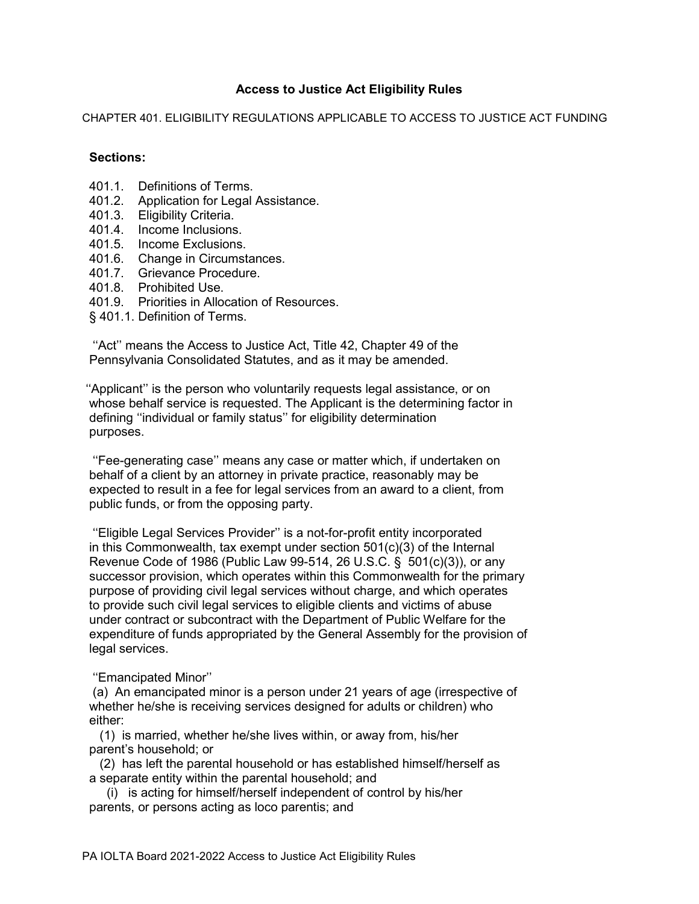# **Access to Justice Act Eligibility Rules**

CHAPTER 401. ELIGIBILITY REGULATIONS APPLICABLE TO ACCESS TO JUSTICE ACT FUNDING

# **Sections:**

- 401.1. Definitions of Terms.
- 401.2. Application for Legal Assistance.
- 401.3. Eligibility Criteria.
- 401.4. Income Inclusions.
- 401.5. Income Exclusions.
- 401.6. Change in Circumstances.
- 401.7. Grievance Procedure.
- 401.8. Prohibited Use.
- 401.9. Priorities in Allocation of Resources.
- § 401.1. Definition of Terms.

 ''Act'' means the Access to Justice Act, Title 42, Chapter 49 of the Pennsylvania Consolidated Statutes, and as it may be amended.

''Applicant'' is the person who voluntarily requests legal assistance, or on whose behalf service is requested. The Applicant is the determining factor in defining ''individual or family status'' for eligibility determination purposes.

 ''Fee-generating case'' means any case or matter which, if undertaken on behalf of a client by an attorney in private practice, reasonably may be expected to result in a fee for legal services from an award to a client, from public funds, or from the opposing party.

 ''Eligible Legal Services Provider'' is a not-for-profit entity incorporated in this Commonwealth, tax exempt under section 501(c)(3) of the Internal Revenue Code of 1986 (Public Law 99-514, 26 U.S.C. § 501(c)(3)), or any successor provision, which operates within this Commonwealth for the primary purpose of providing civil legal services without charge, and which operates to provide such civil legal services to eligible clients and victims of abuse under contract or subcontract with the Department of Public Welfare for the expenditure of funds appropriated by the General Assembly for the provision of legal services.

## ''Emancipated Minor''

 (a) An emancipated minor is a person under 21 years of age (irrespective of whether he/she is receiving services designed for adults or children) who either:

 (1) is married, whether he/she lives within, or away from, his/her parent's household; or

 (2) has left the parental household or has established himself/herself as a separate entity within the parental household; and

 (i) is acting for himself/herself independent of control by his/her parents, or persons acting as loco parentis; and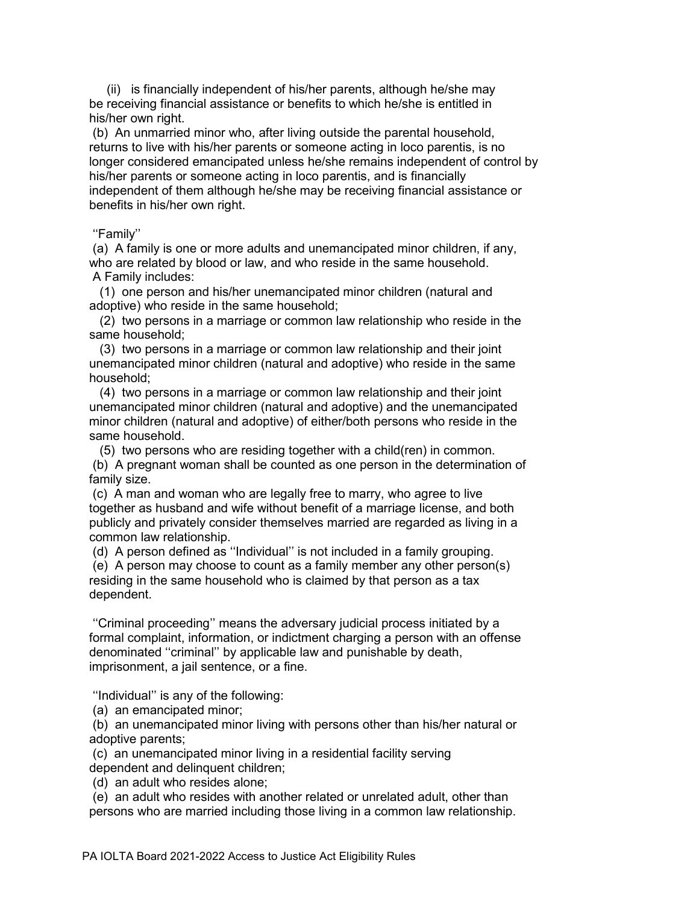(ii) is financially independent of his/her parents, although he/she may be receiving financial assistance or benefits to which he/she is entitled in his/her own right.

 (b) An unmarried minor who, after living outside the parental household, returns to live with his/her parents or someone acting in loco parentis, is no longer considered emancipated unless he/she remains independent of control by his/her parents or someone acting in loco parentis, and is financially independent of them although he/she may be receiving financial assistance or benefits in his/her own right.

### ''Family''

 (a) A family is one or more adults and unemancipated minor children, if any, who are related by blood or law, and who reside in the same household. A Family includes:

 (1) one person and his/her unemancipated minor children (natural and adoptive) who reside in the same household;

 (2) two persons in a marriage or common law relationship who reside in the same household;

 (3) two persons in a marriage or common law relationship and their joint unemancipated minor children (natural and adoptive) who reside in the same household;

 (4) two persons in a marriage or common law relationship and their joint unemancipated minor children (natural and adoptive) and the unemancipated minor children (natural and adoptive) of either/both persons who reside in the same household.

 (5) two persons who are residing together with a child(ren) in common. (b) A pregnant woman shall be counted as one person in the determination of family size.

 (c) A man and woman who are legally free to marry, who agree to live together as husband and wife without benefit of a marriage license, and both publicly and privately consider themselves married are regarded as living in a common law relationship.

(d) A person defined as ''Individual'' is not included in a family grouping.

 (e) A person may choose to count as a family member any other person(s) residing in the same household who is claimed by that person as a tax dependent.

 ''Criminal proceeding'' means the adversary judicial process initiated by a formal complaint, information, or indictment charging a person with an offense denominated ''criminal'' by applicable law and punishable by death, imprisonment, a jail sentence, or a fine.

''Individual'' is any of the following:

(a) an emancipated minor;

 (b) an unemancipated minor living with persons other than his/her natural or adoptive parents;

 (c) an unemancipated minor living in a residential facility serving dependent and delinquent children;

(d) an adult who resides alone;

 (e) an adult who resides with another related or unrelated adult, other than persons who are married including those living in a common law relationship.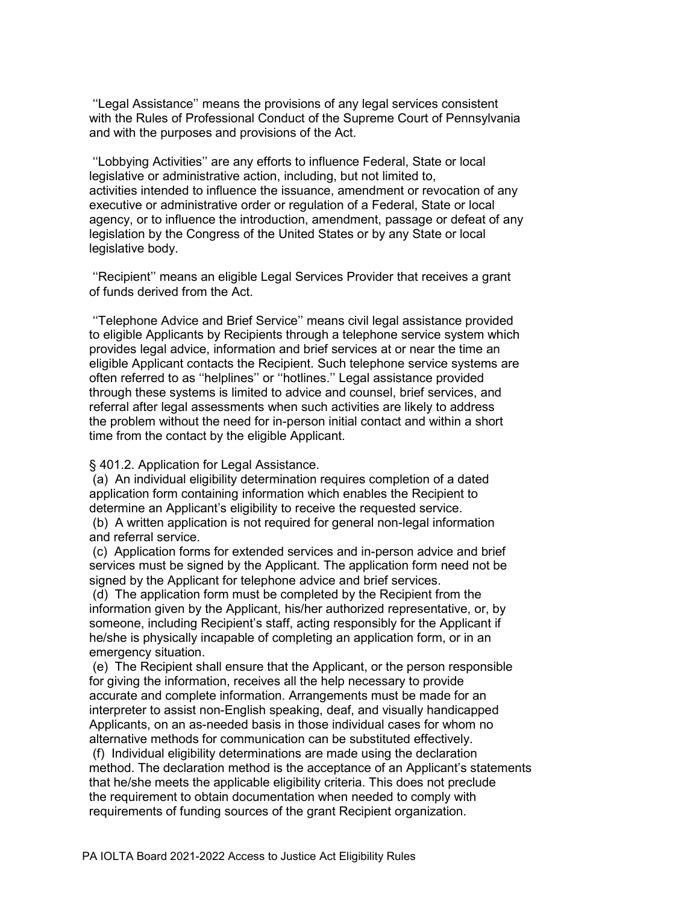''Legal Assistance'' means the provisions of any legal services consistent with the Rules of Professional Conduct of the Supreme Court of Pennsylvania and with the purposes and provisions of the Act.

 ''Lobbying Activities'' are any efforts to influence Federal, State or local legislative or administrative action, including, but not limited to, activities intended to influence the issuance, amendment or revocation of any executive or administrative order or regulation of a Federal, State or local agency, or to influence the introduction, amendment, passage or defeat of any legislation by the Congress of the United States or by any State or local legislative body.

 ''Recipient'' means an eligible Legal Services Provider that receives a grant of funds derived from the Act.

 ''Telephone Advice and Brief Service'' means civil legal assistance provided to eligible Applicants by Recipients through a telephone service system which provides legal advice, information and brief services at or near the time an eligible Applicant contacts the Recipient. Such telephone service systems are often referred to as ''helplines'' or ''hotlines.'' Legal assistance provided through these systems is limited to advice and counsel, brief services, and referral after legal assessments when such activities are likely to address the problem without the need for in-person initial contact and within a short time from the contact by the eligible Applicant.

§ 401.2. Application for Legal Assistance.

(a) An individual eligibility determination requires completion of a dated application form containing information which enables the Recipient to determine an Applicant's eligibility to receive the requested service.

 (b) A written application is not required for general non-legal information and referral service.

 (c) Application forms for extended services and in-person advice and brief services must be signed by the Applicant. The application form need not be signed by the Applicant for telephone advice and brief services.

 (d) The application form must be completed by the Recipient from the information given by the Applicant, his/her authorized representative, or, by someone, including Recipient's staff, acting responsibly for the Applicant if he/she is physically incapable of completing an application form, or in an emergency situation.

 (e) The Recipient shall ensure that the Applicant, or the person responsible for giving the information, receives all the help necessary to provide accurate and complete information. Arrangements must be made for an interpreter to assist non-English speaking, deaf, and visually handicapped Applicants, on an as-needed basis in those individual cases for whom no alternative methods for communication can be substituted effectively.

 (f) Individual eligibility determinations are made using the declaration method. The declaration method is the acceptance of an Applicant's statements that he/she meets the applicable eligibility criteria. This does not preclude the requirement to obtain documentation when needed to comply with requirements of funding sources of the grant Recipient organization.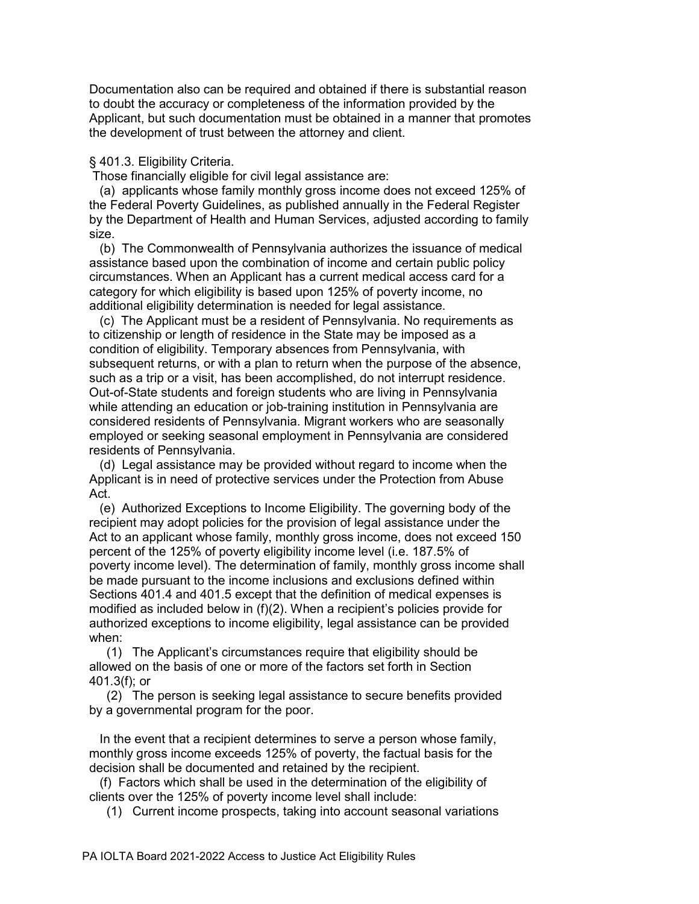Documentation also can be required and obtained if there is substantial reason to doubt the accuracy or completeness of the information provided by the Applicant, but such documentation must be obtained in a manner that promotes the development of trust between the attorney and client.

### § 401.3. Eligibility Criteria.

Those financially eligible for civil legal assistance are:

 (a) applicants whose family monthly gross income does not exceed 125% of the Federal Poverty Guidelines, as published annually in the Federal Register by the Department of Health and Human Services, adjusted according to family size.

 (b) The Commonwealth of Pennsylvania authorizes the issuance of medical assistance based upon the combination of income and certain public policy circumstances. When an Applicant has a current medical access card for a category for which eligibility is based upon 125% of poverty income, no additional eligibility determination is needed for legal assistance.

 (c) The Applicant must be a resident of Pennsylvania. No requirements as to citizenship or length of residence in the State may be imposed as a condition of eligibility. Temporary absences from Pennsylvania, with subsequent returns, or with a plan to return when the purpose of the absence, such as a trip or a visit, has been accomplished, do not interrupt residence. Out-of-State students and foreign students who are living in Pennsylvania while attending an education or job-training institution in Pennsylvania are considered residents of Pennsylvania. Migrant workers who are seasonally employed or seeking seasonal employment in Pennsylvania are considered residents of Pennsylvania.

 (d) Legal assistance may be provided without regard to income when the Applicant is in need of protective services under the Protection from Abuse Act.

 (e) Authorized Exceptions to Income Eligibility. The governing body of the recipient may adopt policies for the provision of legal assistance under the Act to an applicant whose family, monthly gross income, does not exceed 150 percent of the 125% of poverty eligibility income level (i.e. 187.5% of poverty income level). The determination of family, monthly gross income shall be made pursuant to the income inclusions and exclusions defined within Sections 401.4 and 401.5 except that the definition of medical expenses is modified as included below in (f)(2). When a recipient's policies provide for authorized exceptions to income eligibility, legal assistance can be provided when:

 (1) The Applicant's circumstances require that eligibility should be allowed on the basis of one or more of the factors set forth in Section 401.3(f); or

 (2) The person is seeking legal assistance to secure benefits provided by a governmental program for the poor.

 In the event that a recipient determines to serve a person whose family, monthly gross income exceeds 125% of poverty, the factual basis for the decision shall be documented and retained by the recipient.

 (f) Factors which shall be used in the determination of the eligibility of clients over the 125% of poverty income level shall include:

(1) Current income prospects, taking into account seasonal variations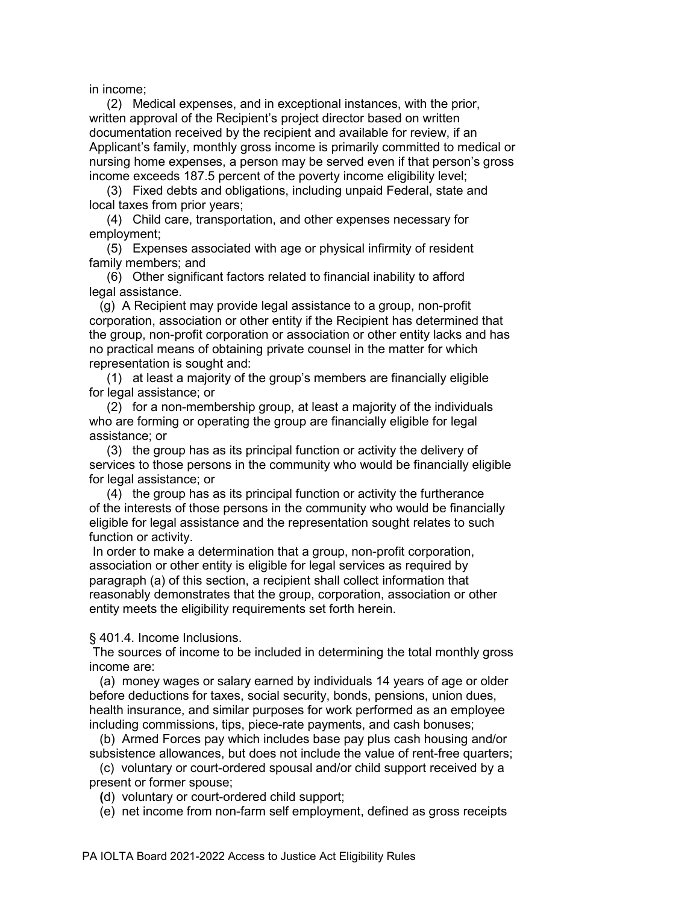in income;

 (2) Medical expenses, and in exceptional instances, with the prior, written approval of the Recipient's project director based on written documentation received by the recipient and available for review, if an Applicant's family, monthly gross income is primarily committed to medical or nursing home expenses, a person may be served even if that person's gross income exceeds 187.5 percent of the poverty income eligibility level;

 (3) Fixed debts and obligations, including unpaid Federal, state and local taxes from prior years;

 (4) Child care, transportation, and other expenses necessary for employment;

 (5) Expenses associated with age or physical infirmity of resident family members; and

 (6) Other significant factors related to financial inability to afford legal assistance.

 (g) A Recipient may provide legal assistance to a group, non-profit corporation, association or other entity if the Recipient has determined that the group, non-profit corporation or association or other entity lacks and has no practical means of obtaining private counsel in the matter for which representation is sought and:

(1) at least a majority of the group's members are financially eligible for legal assistance; or

 (2) for a non-membership group, at least a majority of the individuals who are forming or operating the group are financially eligible for legal assistance; or

 (3) the group has as its principal function or activity the delivery of services to those persons in the community who would be financially eligible for legal assistance; or

 (4) the group has as its principal function or activity the furtherance of the interests of those persons in the community who would be financially eligible for legal assistance and the representation sought relates to such function or activity.

 In order to make a determination that a group, non-profit corporation, association or other entity is eligible for legal services as required by paragraph (a) of this section, a recipient shall collect information that reasonably demonstrates that the group, corporation, association or other entity meets the eligibility requirements set forth herein.

§ 401.4. Income Inclusions.

 The sources of income to be included in determining the total monthly gross income are:

 (a) money wages or salary earned by individuals 14 years of age or older before deductions for taxes, social security, bonds, pensions, union dues, health insurance, and similar purposes for work performed as an employee including commissions, tips, piece-rate payments, and cash bonuses;

 (b) Armed Forces pay which includes base pay plus cash housing and/or subsistence allowances, but does not include the value of rent-free quarters;

 (c) voluntary or court-ordered spousal and/or child support received by a present or former spouse;

 **(**d) voluntary or court-ordered child support;

(e) net income from non-farm self employment, defined as gross receipts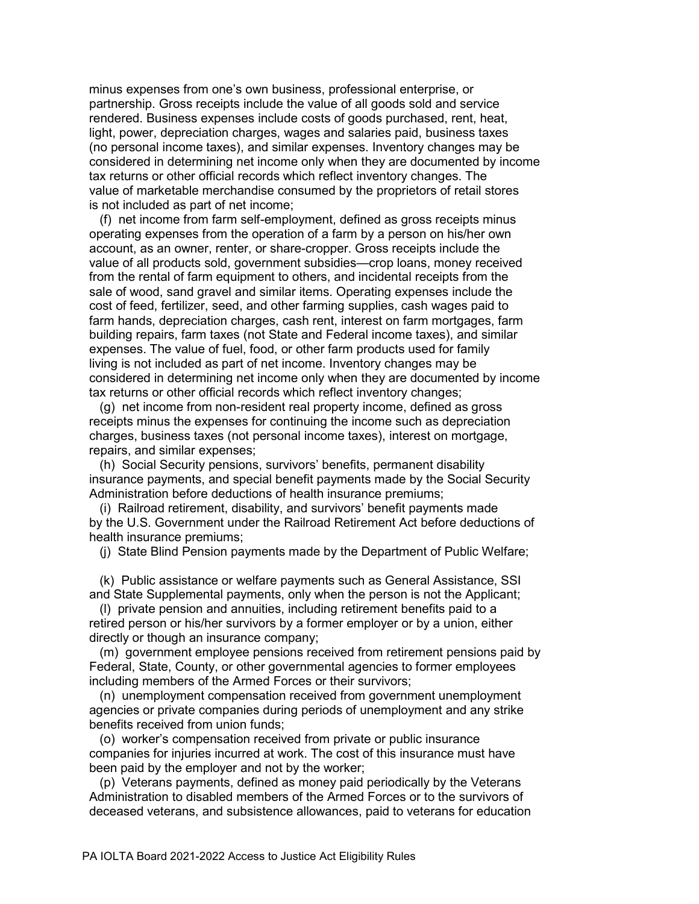minus expenses from one's own business, professional enterprise, or partnership. Gross receipts include the value of all goods sold and service rendered. Business expenses include costs of goods purchased, rent, heat, light, power, depreciation charges, wages and salaries paid, business taxes (no personal income taxes), and similar expenses. Inventory changes may be considered in determining net income only when they are documented by income tax returns or other official records which reflect inventory changes. The value of marketable merchandise consumed by the proprietors of retail stores is not included as part of net income;

 (f) net income from farm self-employment, defined as gross receipts minus operating expenses from the operation of a farm by a person on his/her own account, as an owner, renter, or share-cropper. Gross receipts include the value of all products sold, government subsidies—crop loans, money received from the rental of farm equipment to others, and incidental receipts from the sale of wood, sand gravel and similar items. Operating expenses include the cost of feed, fertilizer, seed, and other farming supplies, cash wages paid to farm hands, depreciation charges, cash rent, interest on farm mortgages, farm building repairs, farm taxes (not State and Federal income taxes), and similar expenses. The value of fuel, food, or other farm products used for family living is not included as part of net income. Inventory changes may be considered in determining net income only when they are documented by income tax returns or other official records which reflect inventory changes;

 (g) net income from non-resident real property income, defined as gross receipts minus the expenses for continuing the income such as depreciation charges, business taxes (not personal income taxes), interest on mortgage, repairs, and similar expenses;

 (h) Social Security pensions, survivors' benefits, permanent disability insurance payments, and special benefit payments made by the Social Security Administration before deductions of health insurance premiums;

 (i) Railroad retirement, disability, and survivors' benefit payments made by the U.S. Government under the Railroad Retirement Act before deductions of health insurance premiums;

(j) State Blind Pension payments made by the Department of Public Welfare;

 (k) Public assistance or welfare payments such as General Assistance, SSI and State Supplemental payments, only when the person is not the Applicant;

 (l) private pension and annuities, including retirement benefits paid to a retired person or his/her survivors by a former employer or by a union, either directly or though an insurance company;

 (m) government employee pensions received from retirement pensions paid by Federal, State, County, or other governmental agencies to former employees including members of the Armed Forces or their survivors;

 (n) unemployment compensation received from government unemployment agencies or private companies during periods of unemployment and any strike benefits received from union funds;

 (o) worker's compensation received from private or public insurance companies for injuries incurred at work. The cost of this insurance must have been paid by the employer and not by the worker;

 (p) Veterans payments, defined as money paid periodically by the Veterans Administration to disabled members of the Armed Forces or to the survivors of deceased veterans, and subsistence allowances, paid to veterans for education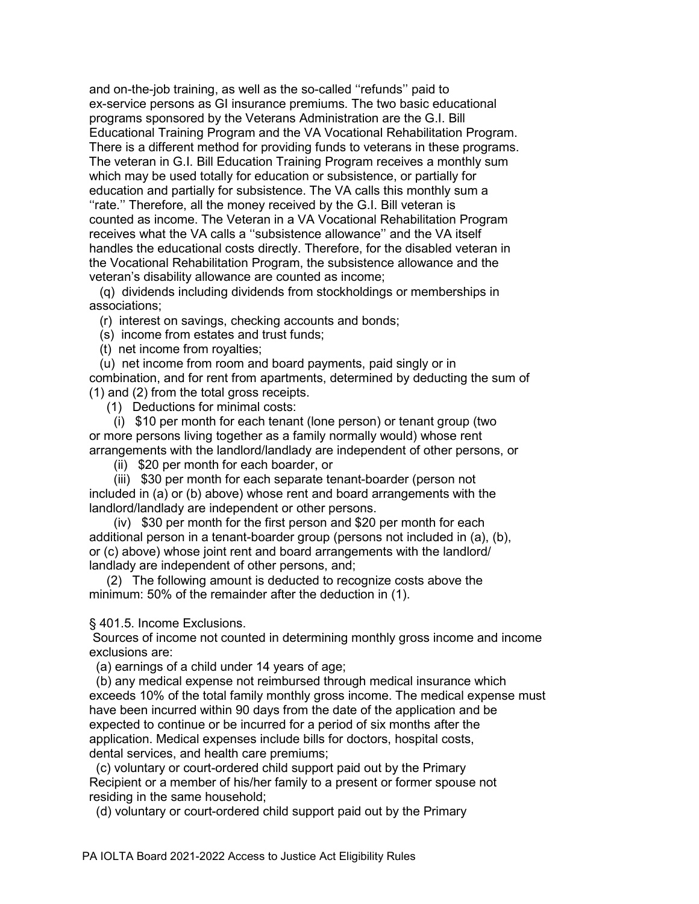and on-the-job training, as well as the so-called ''refunds'' paid to ex-service persons as GI insurance premiums. The two basic educational programs sponsored by the Veterans Administration are the G.I. Bill Educational Training Program and the VA Vocational Rehabilitation Program. There is a different method for providing funds to veterans in these programs. The veteran in G.I. Bill Education Training Program receives a monthly sum which may be used totally for education or subsistence, or partially for education and partially for subsistence. The VA calls this monthly sum a "rate." Therefore, all the money received by the G.I. Bill veteran is counted as income. The Veteran in a VA Vocational Rehabilitation Program receives what the VA calls a ''subsistence allowance'' and the VA itself handles the educational costs directly. Therefore, for the disabled veteran in the Vocational Rehabilitation Program, the subsistence allowance and the veteran's disability allowance are counted as income;

 (q) dividends including dividends from stockholdings or memberships in associations;

(r) interest on savings, checking accounts and bonds;

(s) income from estates and trust funds;

(t) net income from royalties;

 (u) net income from room and board payments, paid singly or in combination, and for rent from apartments, determined by deducting the sum of (1) and (2) from the total gross receipts.

(1) Deductions for minimal costs:

 (i) \$10 per month for each tenant (lone person) or tenant group (two or more persons living together as a family normally would) whose rent arrangements with the landlord/landlady are independent of other persons, or

(ii) \$20 per month for each boarder, or

 (iii) \$30 per month for each separate tenant-boarder (person not included in (a) or (b) above) whose rent and board arrangements with the landlord/landlady are independent or other persons.

 (iv) \$30 per month for the first person and \$20 per month for each additional person in a tenant-boarder group (persons not included in (a), (b), or (c) above) whose joint rent and board arrangements with the landlord/ landlady are independent of other persons, and;

 (2) The following amount is deducted to recognize costs above the minimum: 50% of the remainder after the deduction in (1).

§ 401.5. Income Exclusions.

 Sources of income not counted in determining monthly gross income and income exclusions are:

(a) earnings of a child under 14 years of age;

 (b) any medical expense not reimbursed through medical insurance which exceeds 10% of the total family monthly gross income. The medical expense must have been incurred within 90 days from the date of the application and be expected to continue or be incurred for a period of six months after the application. Medical expenses include bills for doctors, hospital costs, dental services, and health care premiums;

 (c) voluntary or court-ordered child support paid out by the Primary Recipient or a member of his/her family to a present or former spouse not residing in the same household;

(d) voluntary or court-ordered child support paid out by the Primary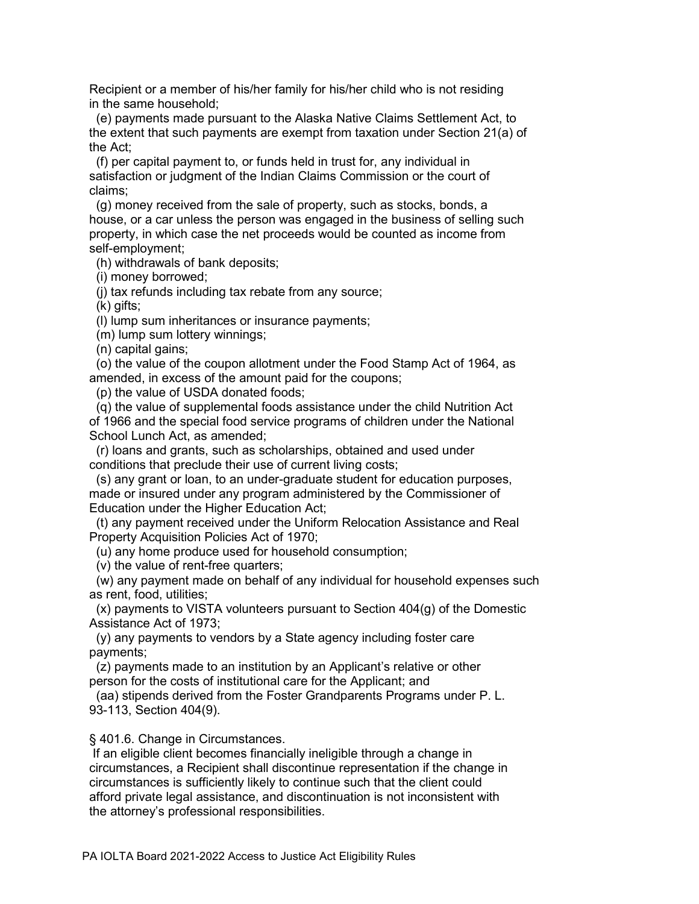Recipient or a member of his/her family for his/her child who is not residing in the same household;

 (e) payments made pursuant to the Alaska Native Claims Settlement Act, to the extent that such payments are exempt from taxation under Section 21(a) of the Act;

 (f) per capital payment to, or funds held in trust for, any individual in satisfaction or judgment of the Indian Claims Commission or the court of claims;

 (g) money received from the sale of property, such as stocks, bonds, a house, or a car unless the person was engaged in the business of selling such property, in which case the net proceeds would be counted as income from self-employment;

(h) withdrawals of bank deposits;

(i) money borrowed;

(j) tax refunds including tax rebate from any source;

(k) gifts;

(l) lump sum inheritances or insurance payments;

(m) lump sum lottery winnings;

(n) capital gains;

 (o) the value of the coupon allotment under the Food Stamp Act of 1964, as amended, in excess of the amount paid for the coupons;

(p) the value of USDA donated foods;

 (q) the value of supplemental foods assistance under the child Nutrition Act of 1966 and the special food service programs of children under the National School Lunch Act, as amended;

 (r) loans and grants, such as scholarships, obtained and used under conditions that preclude their use of current living costs;

 (s) any grant or loan, to an under-graduate student for education purposes, made or insured under any program administered by the Commissioner of Education under the Higher Education Act;

 (t) any payment received under the Uniform Relocation Assistance and Real Property Acquisition Policies Act of 1970;

(u) any home produce used for household consumption;

(v) the value of rent-free quarters;

 (w) any payment made on behalf of any individual for household expenses such as rent, food, utilities;

 (x) payments to VISTA volunteers pursuant to Section 404(g) of the Domestic Assistance Act of 1973;

 (y) any payments to vendors by a State agency including foster care payments;

 (z) payments made to an institution by an Applicant's relative or other person for the costs of institutional care for the Applicant; and

 (aa) stipends derived from the Foster Grandparents Programs under P. L. 93-113, Section 404(9).

§ 401.6. Change in Circumstances.

 If an eligible client becomes financially ineligible through a change in circumstances, a Recipient shall discontinue representation if the change in circumstances is sufficiently likely to continue such that the client could afford private legal assistance, and discontinuation is not inconsistent with the attorney's professional responsibilities.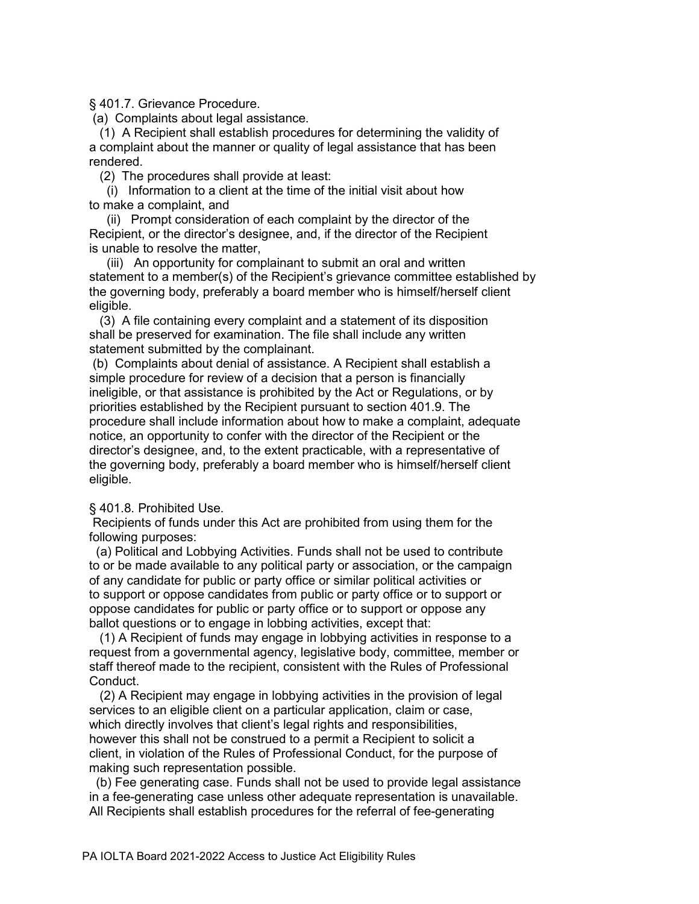§ 401.7. Grievance Procedure.

(a) Complaints about legal assistance.

 (1) A Recipient shall establish procedures for determining the validity of a complaint about the manner or quality of legal assistance that has been rendered.

(2) The procedures shall provide at least:

 (i) Information to a client at the time of the initial visit about how to make a complaint, and

 (ii) Prompt consideration of each complaint by the director of the Recipient, or the director's designee, and, if the director of the Recipient is unable to resolve the matter,

 (iii) An opportunity for complainant to submit an oral and written statement to a member(s) of the Recipient's grievance committee established by the governing body, preferably a board member who is himself/herself client eligible.

 (3) A file containing every complaint and a statement of its disposition shall be preserved for examination. The file shall include any written statement submitted by the complainant.

 (b) Complaints about denial of assistance. A Recipient shall establish a simple procedure for review of a decision that a person is financially ineligible, or that assistance is prohibited by the Act or Regulations, or by priorities established by the Recipient pursuant to section 401.9. The procedure shall include information about how to make a complaint, adequate notice, an opportunity to confer with the director of the Recipient or the director's designee, and, to the extent practicable, with a representative of the governing body, preferably a board member who is himself/herself client eligible.

### § 401.8. Prohibited Use.

 Recipients of funds under this Act are prohibited from using them for the following purposes:

 (a) Political and Lobbying Activities. Funds shall not be used to contribute to or be made available to any political party or association, or the campaign of any candidate for public or party office or similar political activities or to support or oppose candidates from public or party office or to support or oppose candidates for public or party office or to support or oppose any ballot questions or to engage in lobbing activities, except that:

 (1) A Recipient of funds may engage in lobbying activities in response to a request from a governmental agency, legislative body, committee, member or staff thereof made to the recipient, consistent with the Rules of Professional Conduct.

 (2) A Recipient may engage in lobbying activities in the provision of legal services to an eligible client on a particular application, claim or case, which directly involves that client's legal rights and responsibilities, however this shall not be construed to a permit a Recipient to solicit a client, in violation of the Rules of Professional Conduct, for the purpose of making such representation possible.

 (b) Fee generating case. Funds shall not be used to provide legal assistance in a fee-generating case unless other adequate representation is unavailable. All Recipients shall establish procedures for the referral of fee-generating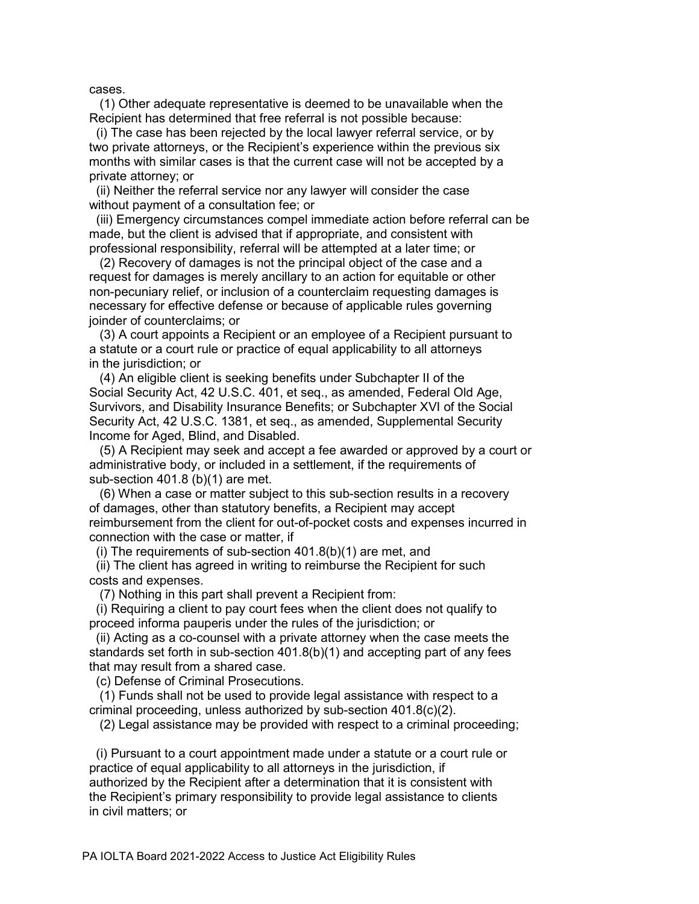cases.

 (1) Other adequate representative is deemed to be unavailable when the Recipient has determined that free referral is not possible because:

 (i) The case has been rejected by the local lawyer referral service, or by two private attorneys, or the Recipient's experience within the previous six months with similar cases is that the current case will not be accepted by a private attorney; or

 (ii) Neither the referral service nor any lawyer will consider the case without payment of a consultation fee; or

 (iii) Emergency circumstances compel immediate action before referral can be made, but the client is advised that if appropriate, and consistent with professional responsibility, referral will be attempted at a later time; or

 (2) Recovery of damages is not the principal object of the case and a request for damages is merely ancillary to an action for equitable or other non-pecuniary relief, or inclusion of a counterclaim requesting damages is necessary for effective defense or because of applicable rules governing joinder of counterclaims; or

 (3) A court appoints a Recipient or an employee of a Recipient pursuant to a statute or a court rule or practice of equal applicability to all attorneys in the jurisdiction; or

 (4) An eligible client is seeking benefits under Subchapter II of the Social Security Act, 42 U.S.C. 401, et seq., as amended, Federal Old Age, Survivors, and Disability Insurance Benefits; or Subchapter XVI of the Social Security Act, 42 U.S.C. 1381, et seq., as amended, Supplemental Security Income for Aged, Blind, and Disabled.

 (5) A Recipient may seek and accept a fee awarded or approved by a court or administrative body, or included in a settlement, if the requirements of sub-section 401.8 (b)(1) are met.

 (6) When a case or matter subject to this sub-section results in a recovery of damages, other than statutory benefits, a Recipient may accept reimbursement from the client for out-of-pocket costs and expenses incurred in connection with the case or matter, if

(i) The requirements of sub-section 401.8(b)(1) are met, and

 (ii) The client has agreed in writing to reimburse the Recipient for such costs and expenses.

(7) Nothing in this part shall prevent a Recipient from:

 (i) Requiring a client to pay court fees when the client does not qualify to proceed informa pauperis under the rules of the jurisdiction; or

 (ii) Acting as a co-counsel with a private attorney when the case meets the standards set forth in sub-section 401.8(b)(1) and accepting part of any fees that may result from a shared case.

(c) Defense of Criminal Prosecutions.

 (1) Funds shall not be used to provide legal assistance with respect to a criminal proceeding, unless authorized by sub-section 401.8(c)(2).

(2) Legal assistance may be provided with respect to a criminal proceeding;

 (i) Pursuant to a court appointment made under a statute or a court rule or practice of equal applicability to all attorneys in the jurisdiction, if authorized by the Recipient after a determination that it is consistent with the Recipient's primary responsibility to provide legal assistance to clients in civil matters; or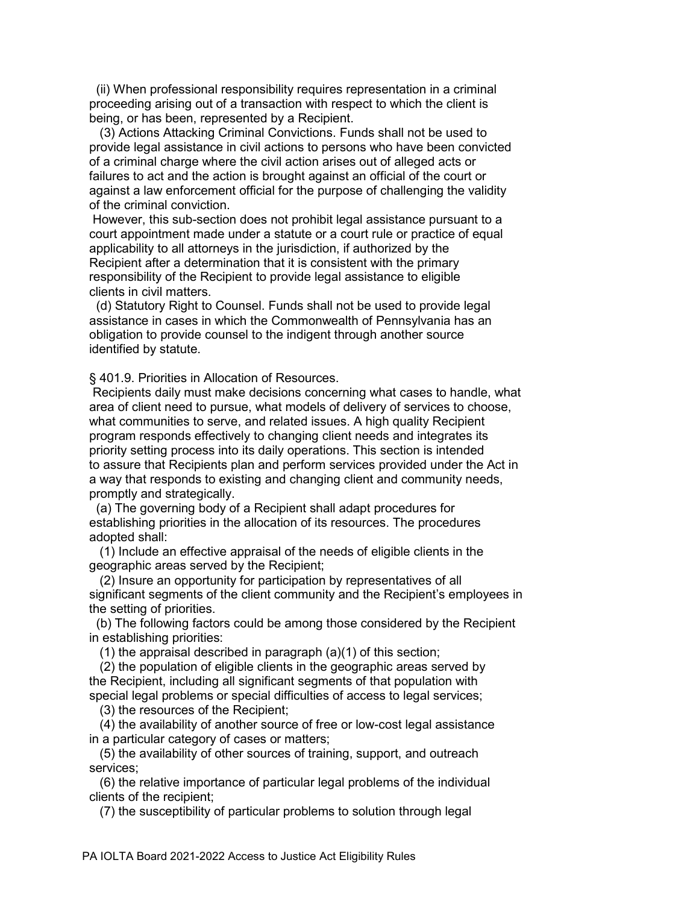(ii) When professional responsibility requires representation in a criminal proceeding arising out of a transaction with respect to which the client is being, or has been, represented by a Recipient.

 (3) Actions Attacking Criminal Convictions. Funds shall not be used to provide legal assistance in civil actions to persons who have been convicted of a criminal charge where the civil action arises out of alleged acts or failures to act and the action is brought against an official of the court or against a law enforcement official for the purpose of challenging the validity of the criminal conviction.

 However, this sub-section does not prohibit legal assistance pursuant to a court appointment made under a statute or a court rule or practice of equal applicability to all attorneys in the jurisdiction, if authorized by the Recipient after a determination that it is consistent with the primary responsibility of the Recipient to provide legal assistance to eligible clients in civil matters.

 (d) Statutory Right to Counsel. Funds shall not be used to provide legal assistance in cases in which the Commonwealth of Pennsylvania has an obligation to provide counsel to the indigent through another source identified by statute.

§ 401.9. Priorities in Allocation of Resources.

 Recipients daily must make decisions concerning what cases to handle, what area of client need to pursue, what models of delivery of services to choose, what communities to serve, and related issues. A high quality Recipient program responds effectively to changing client needs and integrates its priority setting process into its daily operations. This section is intended to assure that Recipients plan and perform services provided under the Act in a way that responds to existing and changing client and community needs, promptly and strategically.

 (a) The governing body of a Recipient shall adapt procedures for establishing priorities in the allocation of its resources. The procedures adopted shall:

 (1) Include an effective appraisal of the needs of eligible clients in the geographic areas served by the Recipient;

 (2) Insure an opportunity for participation by representatives of all significant segments of the client community and the Recipient's employees in the setting of priorities.

 (b) The following factors could be among those considered by the Recipient in establishing priorities:

(1) the appraisal described in paragraph (a)(1) of this section;

 (2) the population of eligible clients in the geographic areas served by the Recipient, including all significant segments of that population with special legal problems or special difficulties of access to legal services;

(3) the resources of the Recipient;

 (4) the availability of another source of free or low-cost legal assistance in a particular category of cases or matters;

 (5) the availability of other sources of training, support, and outreach services;

 (6) the relative importance of particular legal problems of the individual clients of the recipient;

(7) the susceptibility of particular problems to solution through legal